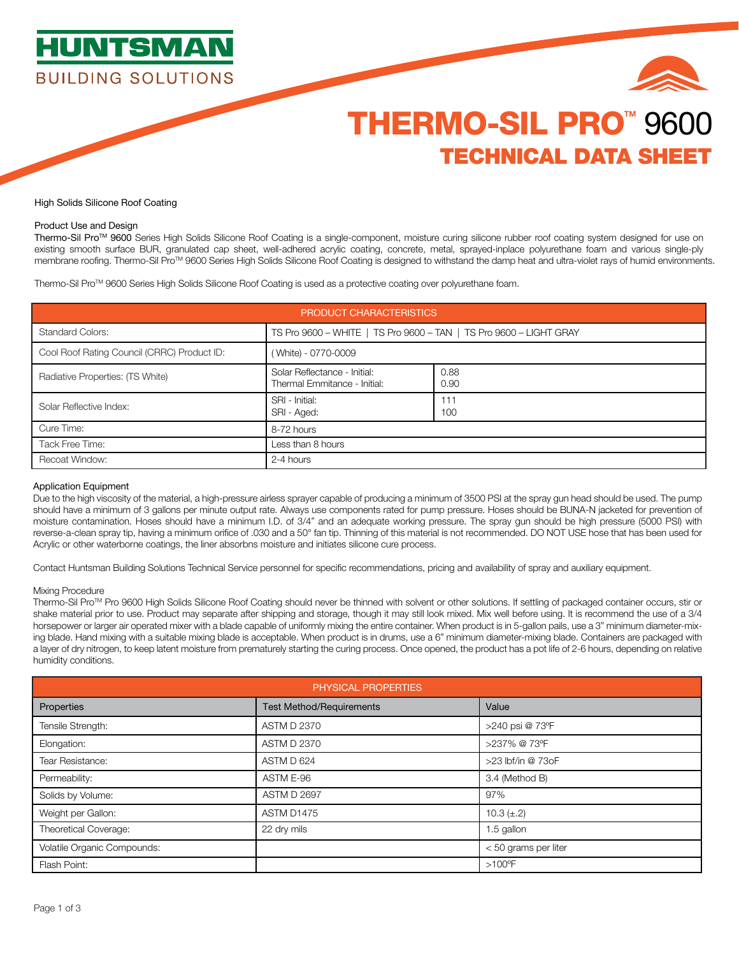



# THERMO-SIL PRO<sup>™</sup> 9600 TECHNICAL DATA SHEET

# High Solids Silicone Roof Coating

# Product Use and Design

Thermo-Sil Pro™ 9600 Series High Solids Silicone Roof Coating is a single-component, moisture curing silicone rubber roof coating system designed for use on existing smooth surface BUR, granulated cap sheet, well-adhered acrylic coating, concrete, metal, sprayed-inplace polyurethane foam and various single-ply membrane roofing. Thermo-Sil Pro™ 9600 Series High Solids Silicone Roof Coating is designed to withstand the damp heat and ultra-violet rays of humid environments.

Thermo-Sil ProTM 9600 Series High Solids Silicone Roof Coating is used as a protective coating over polyurethane foam.

| PRODUCT CHARACTERISTICS                     |                                                                    |              |  |
|---------------------------------------------|--------------------------------------------------------------------|--------------|--|
| <b>Standard Colors:</b>                     | TS Pro 9600 - WHITE   TS Pro 9600 - TAN   TS Pro 9600 - LIGHT GRAY |              |  |
| Cool Roof Rating Council (CRRC) Product ID: | (White) - 0770-0009                                                |              |  |
| Radiative Properties: (TS White)            | Solar Reflectance - Initial:<br>Thermal Emmitance - Initial:       | 0.88<br>0.90 |  |
| Solar Reflective Index:                     | SRI - Initial:<br>SRI - Aged:                                      | 111<br>100   |  |
| Cure Time:                                  | 8-72 hours                                                         |              |  |
| Tack Free Time:                             | Less than 8 hours                                                  |              |  |
| <b>Recoat Window:</b>                       | 2-4 hours                                                          |              |  |

# Application Equipment

Due to the high viscosity of the material, a high-pressure airless sprayer capable of producing a minimum of 3500 PSI at the spray gun head should be used. The pump should have a minimum of 3 gallons per minute output rate. Always use components rated for pump pressure. Hoses should be BUNA-N jacketed for prevention of moisture contamination. Hoses should have a minimum I.D. of 3/4" and an adequate working pressure. The spray gun should be high pressure (5000 PSI) with reverse-a-clean spray tip, having a minimum orifice of .030 and a 50° fan tip. Thinning of this material is not recommended. DO NOT USE hose that has been used for Acrylic or other waterborne coatings, the liner absorbns moisture and initiates silicone cure process.

Contact Huntsman Building Solutions Technical Service personnel for specific recommendations, pricing and availability of spray and auxiliary equipment.

### Mixing Procedure

Thermo-Sil ProTM Pro 9600 High Solids Silicone Roof Coating should never be thinned with solvent or other solutions. If settling of packaged container occurs, stir or shake material prior to use. Product may separate after shipping and storage, though it may still look mixed. Mix well before using. It is recommend the use of a 3/4 horsepower or larger air operated mixer with a blade capable of uniformly mixing the entire container. When product is in 5-gallon pails, use a 3" minimum diameter-mixing blade. Hand mixing with a suitable mixing blade is acceptable. When product is in drums, use a 6" minimum diameter-mixing blade. Containers are packaged with a layer of dry nitrogen, to keep latent moisture from prematurely starting the curing process. Once opened, the product has a pot life of 2-6 hours, depending on relative humidity conditions.

| PHYSICAL PROPERTIES         |                                 |                      |  |
|-----------------------------|---------------------------------|----------------------|--|
| Properties                  | <b>Test Method/Requirements</b> | Value                |  |
| Tensile Strength:           | <b>ASTM D 2370</b>              | >240 psi @ 73°F      |  |
| Elongation:                 | <b>ASTM D 2370</b>              | >237% @ 73°F         |  |
| Tear Resistance:            | ASTM D 624                      | >23 lbf/in @ 73oF    |  |
| Permeability:               | ASTM E-96                       | 3.4 (Method B)       |  |
| Solids by Volume:           | <b>ASTM D 2697</b>              | 97%                  |  |
| Weight per Gallon:          | ASTM D1475                      | 10.3 $(\pm .2)$      |  |
| Theoretical Coverage:       | 22 dry mils                     | 1.5 gallon           |  |
| Volatile Organic Compounds: |                                 | < 50 grams per liter |  |
| Flash Point:                |                                 | $>100^{\circ}$ F     |  |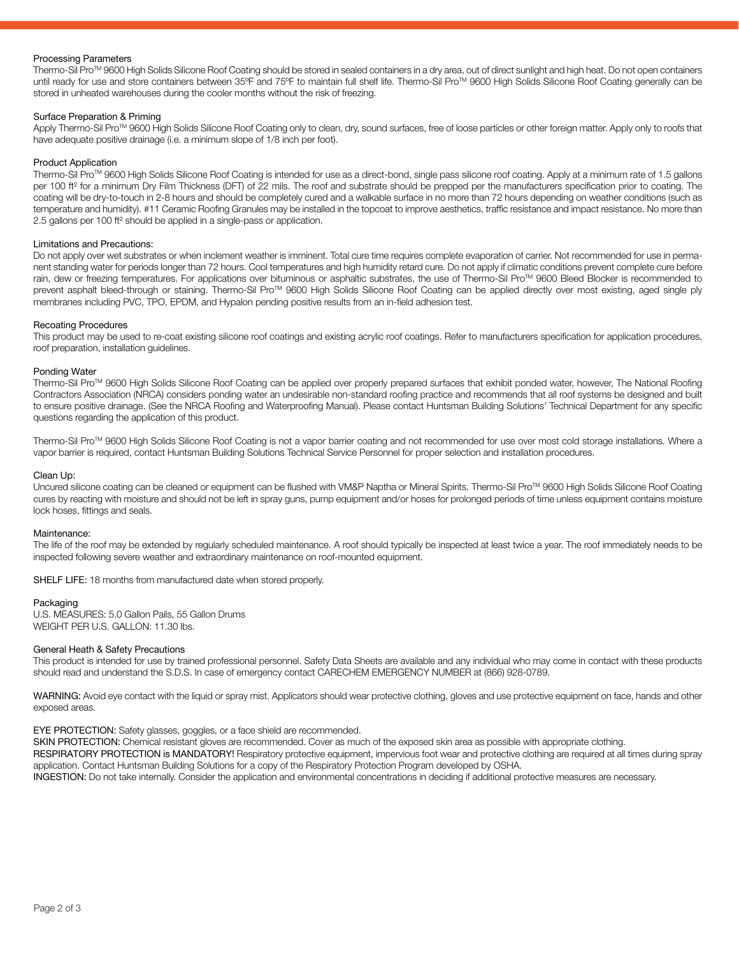# Processing Parameters

Thermo-Sil Pro™ 9600 High Solids Silicone Roof Coating should be stored in sealed containers in a dry area, out of direct sunlight and high heat. Do not open containers until ready for use and store containers between 35°F and 75°F to maintain full shelf life. Thermo-Sil Pro™ 9600 High Solids Silicone Roof Coating generally can be stored in unheated warehouses during the cooler months without the risk of freezing.

# Surface Preparation & Priming

Apply Thermo-Sil Pro™ 9600 High Solids Silicone Roof Coating only to clean, dry, sound surfaces, free of loose particles or other foreign matter. Apply only to roofs that have adequate positive drainage (i.e. a minimum slope of 1/8 inch per foot).

## Product Application

Thermo-Sil Pro™ 9600 High Solids Silicone Roof Coating is intended for use as a direct-bond, single pass silicone roof coating. Apply at a minimum rate of 1.5 gallons per 100 ft<sup>2</sup> for a minimum Dry Film Thickness (DFT) of 22 mils. The roof and substrate should be prepped per the manufacturers specification prior to coating. The coating will be dry-to-touch in 2-8 hours and should be completely cured and a walkable surface in no more than 72 hours depending on weather conditions (such as temperature and humidity). #11 Ceramic Roofing Granules may be installed in the topcoat to improve aesthetics, traffic resistance and impact resistance. No more than 2.5 gallons per 100 ft² should be applied in a single-pass or application.

### Limitations and Precautions:

Do not apply over wet substrates or when inclement weather is imminent. Total cure time requires complete evaporation of carrier. Not recommended for use in permanent standing water for periods longer than 72 hours. Cool temperatures and high humidity retard cure. Do not apply if climatic conditions prevent complete cure before rain, dew or freezing temperatures. For applications over bituminous or asphaltic substrates, the use of Thermo-Sil Pro™ 9600 Bleed Blocker is recommended to prevent asphalt bleed-through or staining. Thermo-Sil Pro™ 9600 High Solids Silicone Roof Coating can be applied directly over most existing, aged single ply membranes including PVC, TPO, EPDM, and Hypalon pending positive results from an in-field adhesion test.

## Recoating Procedures

This product may be used to re-coat existing silicone roof coatings and existing acrylic roof coatings. Refer to manufacturers specification for application procedures, roof preparation, installation guidelines.

# Ponding Water

Thermo-Sil ProTM 9600 High Solids Silicone Roof Coating can be applied over properly prepared surfaces that exhibit ponded water, however, The National Roofing Contractors Association (NRCA) considers ponding water an undesirable non-standard roofing practice and recommends that all roof systems be designed and built to ensure positive drainage. (See the NRCA Roofing and Waterproofing Manual). Please contact Huntsman Building Solutions' Technical Department for any specific questions regarding the application of this product.

Thermo-Sil ProTM 9600 High Solids Silicone Roof Coating is not a vapor barrier coating and not recommended for use over most cold storage installations. Where a vapor barrier is required, contact Huntsman Building Solutions Technical Service Personnel for proper selection and installation procedures.

## Clean Up:

Uncured silicone coating can be cleaned or equipment can be flushed with VM&P Naptha or Mineral Spirits. Thermo-Sil ProTM 9600 High Solids Silicone Roof Coating cures by reacting with moisture and should not be left in spray guns, pump equipment and/or hoses for prolonged periods of time unless equipment contains moisture lock hoses, fittings and seals.

#### Maintenance:

The life of the roof may be extended by regularly scheduled maintenance. A roof should typically be inspected at least twice a year. The roof immediately needs to be inspected following severe weather and extraordinary maintenance on roof-mounted equipment.

SHELF LIFE: 18 months from manufactured date when stored properly.

## Packaging

U.S. MEASURES: 5.0 Gallon Pails, 55 Gallon Drums WEIGHT PER U.S. GALLON: 11.30 lbs.

#### General Heath & Safety Precautions

This product is intended for use by trained professional personnel. Safety Data Sheets are available and any individual who may come in contact with these products should read and understand the S.D.S. In case of emergency contact CARECHEM EMERGENCY NUMBER at (866) 928-0789.

WARNING: Avoid eye contact with the liquid or spray mist. Applicators should wear protective clothing, gloves and use protective equipment on face, hands and other exposed areas.

#### EYE PROTECTION: Safety glasses, goggles, or a face shield are recommended.

SKIN PROTECTION: Chemical resistant gloves are recommended. Cover as much of the exposed skin area as possible with appropriate clothing.

RESPIRATORY PROTECTION is MANDATORY! Respiratory protective equipment, impervious foot wear and protective clothing are required at all times during spray application. Contact Huntsman Building Solutions for a copy of the Respiratory Protection Program developed by OSHA.

INGESTION: Do not take internally. Consider the application and environmental concentrations in deciding if additional protective measures are necessary.